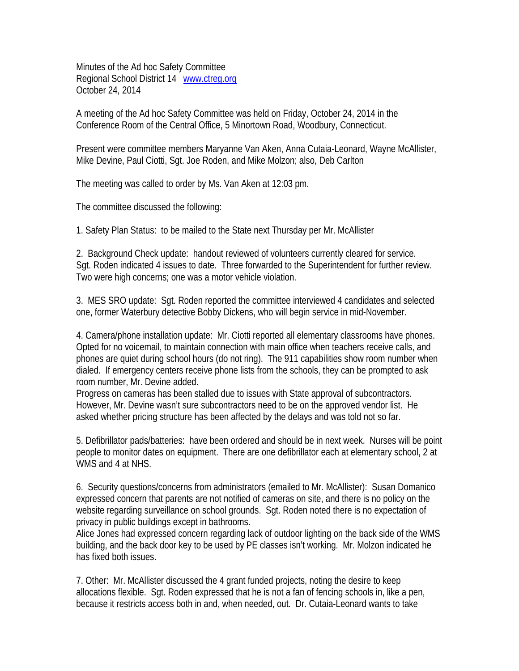Minutes of the Ad hoc Safety Committee Regional School District 14 www.ctreg.org October 24, 2014

A meeting of the Ad hoc Safety Committee was held on Friday, October 24, 2014 in the Conference Room of the Central Office, 5 Minortown Road, Woodbury, Connecticut.

Present were committee members Maryanne Van Aken, Anna Cutaia-Leonard, Wayne McAllister, Mike Devine, Paul Ciotti, Sgt. Joe Roden, and Mike Molzon; also, Deb Carlton

The meeting was called to order by Ms. Van Aken at 12:03 pm.

The committee discussed the following:

1. Safety Plan Status: to be mailed to the State next Thursday per Mr. McAllister

2. Background Check update: handout reviewed of volunteers currently cleared for service. Sgt. Roden indicated 4 issues to date. Three forwarded to the Superintendent for further review. Two were high concerns; one was a motor vehicle violation.

3. MES SRO update: Sgt. Roden reported the committee interviewed 4 candidates and selected one, former Waterbury detective Bobby Dickens, who will begin service in mid-November.

4. Camera/phone installation update: Mr. Ciotti reported all elementary classrooms have phones. Opted for no voicemail, to maintain connection with main office when teachers receive calls, and phones are quiet during school hours (do not ring). The 911 capabilities show room number when dialed. If emergency centers receive phone lists from the schools, they can be prompted to ask room number, Mr. Devine added.

Progress on cameras has been stalled due to issues with State approval of subcontractors. However, Mr. Devine wasn't sure subcontractors need to be on the approved vendor list. He asked whether pricing structure has been affected by the delays and was told not so far.

5. Defibrillator pads/batteries: have been ordered and should be in next week. Nurses will be point people to monitor dates on equipment. There are one defibrillator each at elementary school, 2 at WMS and 4 at NHS.

6. Security questions/concerns from administrators (emailed to Mr. McAllister): Susan Domanico expressed concern that parents are not notified of cameras on site, and there is no policy on the website regarding surveillance on school grounds. Sgt. Roden noted there is no expectation of privacy in public buildings except in bathrooms.

Alice Jones had expressed concern regarding lack of outdoor lighting on the back side of the WMS building, and the back door key to be used by PE classes isn't working. Mr. Molzon indicated he has fixed both issues.

7. Other: Mr. McAllister discussed the 4 grant funded projects, noting the desire to keep allocations flexible. Sgt. Roden expressed that he is not a fan of fencing schools in, like a pen, because it restricts access both in and, when needed, out. Dr. Cutaia-Leonard wants to take